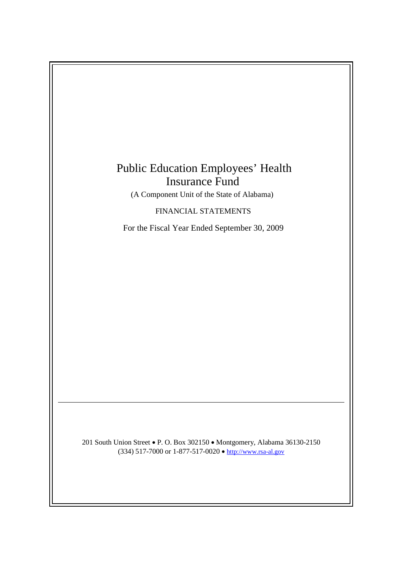# Public Education Employees' Health Insurance Fund

(A Component Unit of the State of Alabama)

FINANCIAL STATEMENTS

For the Fiscal Year Ended September 30, 2009

201 South Union Street • P. O. Box 302150 • Montgomery, Alabama 36130-2150 (334) 517-7000 or 1-877-517-0020  $\bullet$  http://www.rsa-al.gov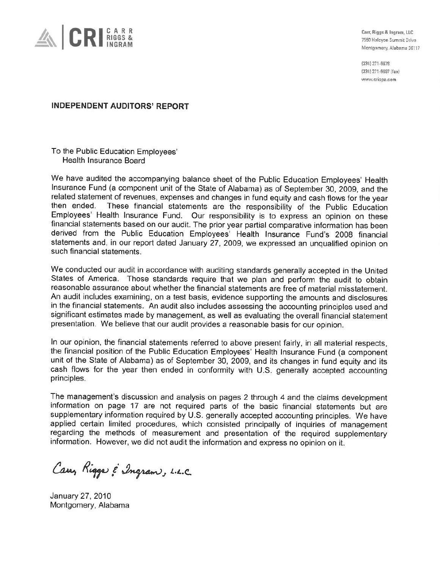

Carr, Riggs & Ingram, LLC 7550 Halcyon Summit Drive Montgomery, Alabama 36117

(334) 271-6678 (334) 271-6697 (fax) www.cricpa.com

# **INDEPENDENT AUDITORS' REPORT**

To the Public Education Employees' Health Insurance Board

We have audited the accompanying balance sheet of the Public Education Employees' Health Insurance Fund (a component unit of the State of Alabama) as of September 30, 2009, and the related statement of revenues, expenses and changes in fund equity and cash flows for the year then ended. These financial statements are the responsibility of the Public Education Employees' Health Insurance Fund. Our responsibility is to express an opinion on these financial statements based on our audit. The prior year partial comparative information has been derived from the Public Education Employees' Health Insurance Fund's 2008 financial statements and, in our report dated January 27, 2009, we expressed an unqualified opinion on such financial statements.

We conducted our audit in accordance with auditing standards generally accepted in the United States of America. Those standards require that we plan and perform the audit to obtain reasonable assurance about whether the financial statements are free of material misstatement. An audit includes examining, on a test basis, evidence supporting the amounts and disclosures in the financial statements. An audit also includes assessing the accounting principles used and significant estimates made by management, as well as evaluating the overall financial statement presentation. We believe that our audit provides a reasonable basis for our opinion.

In our opinion, the financial statements referred to above present fairly, in all material respects, the financial position of the Public Education Employees' Health Insurance Fund (a component unit of the State of Alabama) as of September 30, 2009, and its changes in fund equity and its cash flows for the year then ended in conformity with U.S. generally accepted accounting principles.

The management's discussion and analysis on pages 2 through 4 and the claims development information on page 17 are not required parts of the basic financial statements but are supplementary information required by U.S. generally accepted accounting principles. We have applied certain limited procedures, which consisted principally of inquiries of management regarding the methods of measurement and presentation of the required supplementary information. However, we did not audit the information and express no opinion on it.

Carry Rigger & Ingram, L.L.C.

January 27, 2010 Montgomery, Alabama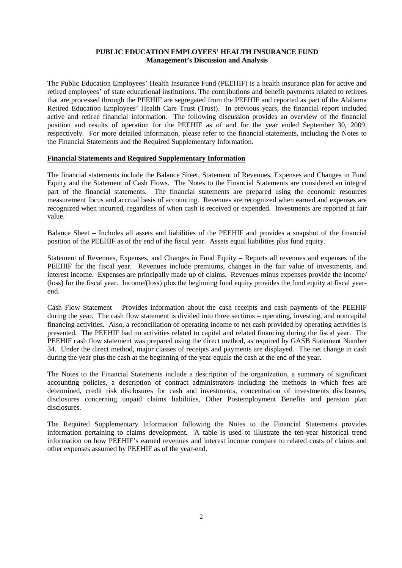# **PUBLIC EDUCATION EMPLOYEES' HEALTH INSURANCE FUND Management's Discussion and Analysis**

The Public Education Employees' Health Insurance Fund (PEEHIF) is a health insurance plan for active and retired employees' of state educational institutions. The contributions and benefit payments related to retirees that are processed through the PEEHIF are segregated from the PEEHIF and reported as part of the Alabama Retired Education Employees' Health Care Trust (Trust). In previous years, the financial report included active and retiree financial information. The following discussion provides an overview of the financial position and results of operation for the PEEHIF as of and for the year ended September 30, 2009, respectively. For more detailed information, please refer to the financial statements, including the Notes to the Financial Statements and the Required Supplementary Information.

#### **Financial Statements and Required Supplementary Information**

The financial statements include the Balance Sheet, Statement of Revenues, Expenses and Changes in Fund Equity and the Statement of Cash Flows. The Notes to the Financial Statements are considered an integral part of the financial statements. The financial statements are prepared using the economic resources measurement focus and accrual basis of accounting. Revenues are recognized when earned and expenses are recognized when incurred, regardless of when cash is received or expended. Investments are reported at fair value.

Balance Sheet – Includes all assets and liabilities of the PEEHIF and provides a snapshot of the financial position of the PEEHIF as of the end of the fiscal year. Assets equal liabilities plus fund equity.

Statement of Revenues, Expenses, and Changes in Fund Equity – Reports all revenues and expenses of the PEEHIF for the fiscal year. Revenues include premiums, changes in the fair value of investments, and interest income. Expenses are principally made up of claims. Revenues minus expenses provide the income/ (loss) for the fiscal year. Income/(loss) plus the beginning fund equity provides the fund equity at fiscal yearend.

Cash Flow Statement – Provides information about the cash receipts and cash payments of the PEEHIF during the year. The cash flow statement is divided into three sections – operating, investing, and noncapital financing activities. Also, a reconciliation of operating income to net cash provided by operating activities is presented. The PEEHIF had no activities related to capital and related financing during the fiscal year. The PEEHIF cash flow statement was prepared using the direct method, as required by GASB Statement Number 34. Under the direct method, major classes of receipts and payments are displayed. The net change in cash during the year plus the cash at the beginning of the year equals the cash at the end of the year.

The Notes to the Financial Statements include a description of the organization, a summary of significant accounting policies, a description of contract administrators including the methods in which fees are determined, credit risk disclosures for cash and investments, concentration of investments disclosures, disclosures concerning unpaid claims liabilities, Other Postemployment Benefits and pension plan disclosures.

The Required Supplementary Information following the Notes to the Financial Statements provides information pertaining to claims development. A table is used to illustrate the ten-year historical trend information on how PEEHIF's earned revenues and interest income compare to related costs of claims and other expenses assumed by PEEHIF as of the year-end.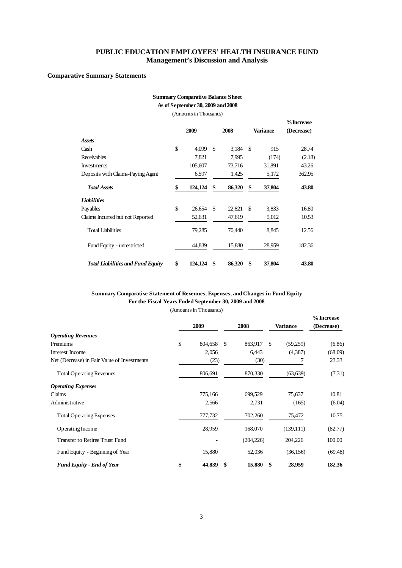# **PUBLIC EDUCATION EMPLOYEES' HEALTH INSURANCE FUND Management's Discussion and Analysis**

# **Comparative Summary Statements**

# **Summary Comparative Balance Sheet**

**As of September 30, 2009 and2008**

(Amounts in Thousands)

|                                          |      |         |      |        |     |          | % Increase |
|------------------------------------------|------|---------|------|--------|-----|----------|------------|
|                                          | 2009 |         | 2008 |        |     | Variance | (Decrease) |
| <b>Assets</b>                            |      |         |      |        |     |          |            |
| Cash                                     | \$   | 4,099   | -\$  | 3,184  | -S  | 915      | 28.74      |
| Receivables                              |      | 7,821   |      | 7,995  |     | (174)    | (2.18)     |
| <b>Investments</b>                       |      | 105,607 |      | 73,716 |     | 31,891   | 43.26      |
| Deposits with Claims-Paying Agent        |      | 6,597   |      | 1,425  |     | 5,172    | 362.95     |
| <b>Total Assets</b>                      | \$   | 124,124 | \$   | 86,320 | \$  | 37,804   | 43.80      |
| <b>Liabilities</b>                       |      |         |      |        |     |          |            |
| Payables                                 | \$   | 26,654  | - \$ | 22,821 | \$. | 3,833    | 16.80      |
| Claims Incurred but not Reported         |      | 52,631  |      | 47,619 |     | 5,012    | 10.53      |
| <b>Total Liabilities</b>                 |      | 79,285  |      | 70,440 |     | 8,845    | 12.56      |
| Fund Equity - unrestricted               |      | 44,839  |      | 15,880 |     | 28,959   | 182.36     |
| <b>Total Liabilities and Fund Equity</b> | \$   | 124,124 | \$   | 86,320 | \$  | 37,804   | 43.80      |

# **Summary Comparative Statement of Revenues, Expenses, and Changes in Fund Equity For the Fiscal Years Ended September 30, 2009 and 2008**

(Amounts in Thousands)

**%Increase**

|                                             | 2009 |         | 2008          | Variance        | л шыская<br>(Decrease) |  |
|---------------------------------------------|------|---------|---------------|-----------------|------------------------|--|
| <b>Operating Revenues</b>                   |      |         |               |                 |                        |  |
| Premiums                                    | \$   | 804,658 | \$<br>863,917 | -\$<br>(59,259) | (6.86)                 |  |
| Interest Income                             |      | 2,056   | 6,443         | (4,387)         | (68.09)                |  |
| Net (Decrease) in Fair Value of Investments |      | (23)    | (30)          |                 | 23.33                  |  |
| <b>Total Operating Revenues</b>             |      | 806,691 | 870,330       | (63, 639)       | (7.31)                 |  |
| <b>Operating Expenses</b>                   |      |         |               |                 |                        |  |
| Claims                                      |      | 775,166 | 699,529       | 75,637          | 10.81                  |  |
| Administrative                              |      | 2,566   | 2,731         | (165)           | (6.04)                 |  |
| <b>Total Operating Expenses</b>             |      | 777,732 | 702,260       | 75,472          | 10.75                  |  |
| Operating Income                            |      | 28,959  | 168,070       | (139, 111)      | (82.77)                |  |
| Transfer to Retiree Trust Fund              |      |         | (204, 226)    | 204,226         | 100.00                 |  |
| Fund Equity - Beginning of Year             |      | 15,880  | 52,036        | (36, 156)       | (69.48)                |  |
| <b>Fund Equity - End of Year</b>            |      | 44,839  | \$<br>15,880  | 28,959<br>\$    | 182.36                 |  |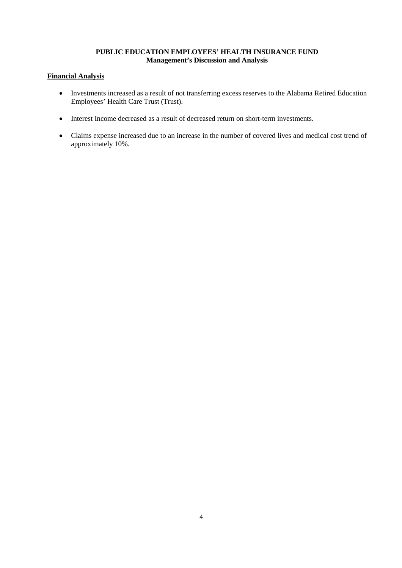# **PUBLIC EDUCATION EMPLOYEES' HEALTH INSURANCE FUND Management's Discussion and Analysis**

# **Financial Analysis**

- Investments increased as a result of not transferring excess reserves to the Alabama Retired Education Employees' Health Care Trust (Trust).
- Interest Income decreased as a result of decreased return on short-term investments.
- Claims expense increased due to an increase in the number of covered lives and medical cost trend of approximately 10%.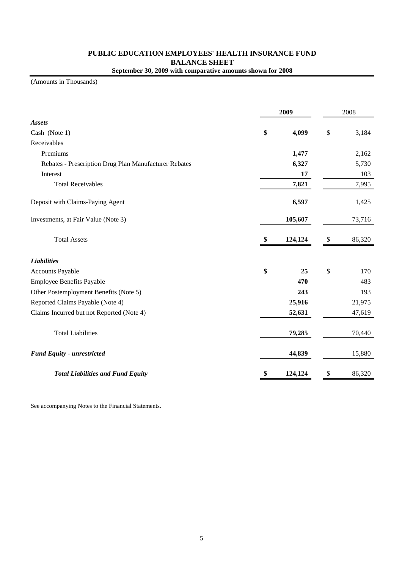# **PUBLIC EDUCATION EMPLOYEES' HEALTH INSURANCE FUND BALANCE SHEET September 30, 2009 with comparative amounts shown for 2008**

(Amounts in Thousands)

|                                                       |    | 2008    |    |        |
|-------------------------------------------------------|----|---------|----|--------|
| <b>Assets</b>                                         |    |         |    |        |
| Cash (Note 1)                                         | \$ | 4,099   | \$ | 3,184  |
| Receivables                                           |    |         |    |        |
| Premiums                                              |    | 1,477   |    | 2,162  |
| Rebates - Prescription Drug Plan Manufacturer Rebates |    | 6,327   |    | 5,730  |
| Interest                                              |    | 17      |    | 103    |
| <b>Total Receivables</b>                              |    | 7,821   |    | 7,995  |
| Deposit with Claims-Paying Agent                      |    | 6,597   |    | 1,425  |
| Investments, at Fair Value (Note 3)                   |    | 105,607 |    | 73,716 |
| <b>Total Assets</b>                                   | \$ | 124,124 | \$ | 86,320 |
| <b>Liabilities</b>                                    |    |         |    |        |
| <b>Accounts Payable</b>                               | \$ | 25      | \$ | 170    |
| <b>Employee Benefits Payable</b>                      |    | 470     |    | 483    |
| Other Postemployment Benefits (Note 5)                |    | 243     |    | 193    |
| Reported Claims Payable (Note 4)                      |    | 25,916  |    | 21,975 |
| Claims Incurred but not Reported (Note 4)             |    | 52,631  |    | 47,619 |
| <b>Total Liabilities</b>                              |    | 79,285  |    | 70,440 |
| <b>Fund Equity - unrestricted</b>                     |    | 44,839  |    | 15,880 |
| <b>Total Liabilities and Fund Equity</b>              | \$ | 124,124 | \$ | 86,320 |

See accompanying Notes to the Financial Statements.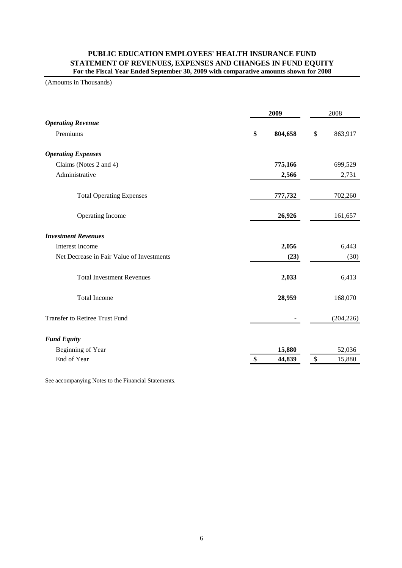# **PUBLIC EDUCATION EMPLOYEES' HEALTH INSURANCE FUND STATEMENT OF REVENUES, EXPENSES AND CHANGES IN FUND EQUITY For the Fiscal Year Ended September 30, 2009 with comparative amounts shown for 2008**

(Amounts in Thousands)

|                                           | 2009 |         |    | 2008       |  |  |
|-------------------------------------------|------|---------|----|------------|--|--|
| <b>Operating Revenue</b>                  |      |         |    |            |  |  |
| Premiums                                  | \$   | 804,658 | \$ | 863,917    |  |  |
| <b>Operating Expenses</b>                 |      |         |    |            |  |  |
| Claims (Notes 2 and 4)                    |      | 775,166 |    | 699,529    |  |  |
| Administrative                            |      | 2,566   |    | 2,731      |  |  |
| <b>Total Operating Expenses</b>           |      | 777,732 |    | 702,260    |  |  |
| Operating Income                          |      | 26,926  |    | 161,657    |  |  |
| <b>Investment Revenues</b>                |      |         |    |            |  |  |
| <b>Interest Income</b>                    |      | 2,056   |    | 6,443      |  |  |
| Net Decrease in Fair Value of Investments |      | (23)    |    | (30)       |  |  |
| <b>Total Investment Revenues</b>          |      | 2,033   |    | 6,413      |  |  |
| <b>Total Income</b>                       |      | 28,959  |    | 168,070    |  |  |
| <b>Transfer to Retiree Trust Fund</b>     |      |         |    | (204, 226) |  |  |
| <b>Fund Equity</b>                        |      |         |    |            |  |  |
| Beginning of Year                         |      | 15,880  |    | 52,036     |  |  |
| End of Year                               |      | 44,839  | \$ | 15,880     |  |  |

See accompanying Notes to the Financial Statements.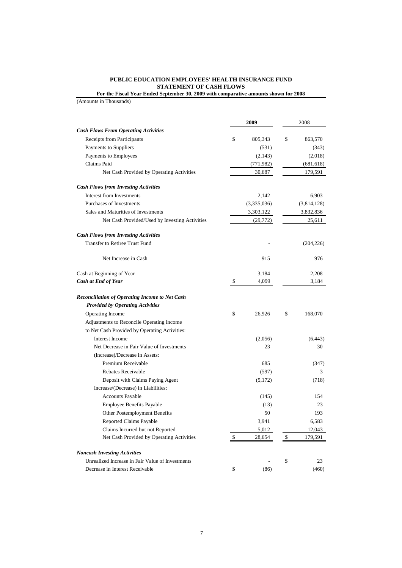# **PUBLIC EDUCATION EMPLOYEES' HEALTH INSURANCE FUND STATEMENT OF CASH FLOWS**

**For the Fiscal Year Ended September 30, 2009 with comparative amounts shown for 2008**

|                                                  | 2009           | 2008          |  |  |
|--------------------------------------------------|----------------|---------------|--|--|
| <b>Cash Flows From Operating Activities</b>      |                |               |  |  |
| Receipts from Participants                       | \$<br>805,343  | \$<br>863,570 |  |  |
| Payments to Suppliers                            | (531)          | (343)         |  |  |
| Payments to Employees                            | (2, 143)       | (2,018)       |  |  |
| Claims Paid                                      | (771, 982)     | (681, 618)    |  |  |
| Net Cash Provided by Operating Activities        | 30,687         | 179,591       |  |  |
| <b>Cash Flows from Investing Activities</b>      |                |               |  |  |
| Interest from Investments                        | 2,142          | 6,903         |  |  |
| Purchases of Investments                         | (3,335,036)    | (3,814,128)   |  |  |
| Sales and Maturities of Investments              | 3,303,122      | 3,832,836     |  |  |
| Net Cash Provided/Used by Investing Activities   | (29, 772)      | 25,611        |  |  |
| <b>Cash Flows from Investing Activities</b>      |                |               |  |  |
| Transfer to Retiree Trust Fund                   |                | (204, 226)    |  |  |
| Net Increase in Cash                             | 915            | 976           |  |  |
| Cash at Beginning of Year                        | 3,184          | 2,208         |  |  |
| <b>Cash at End of Year</b>                       | \$<br>4,099    | 3,184         |  |  |
| Reconciliation of Operating Income to Net Cash   |                |               |  |  |
| <b>Provided by Operating Activities</b>          |                |               |  |  |
| Operating Income                                 | \$<br>26,926   | \$<br>168,070 |  |  |
| Adjustments to Reconcile Operating Income        |                |               |  |  |
| to Net Cash Provided by Operating Activities:    |                |               |  |  |
| Interest Income                                  | (2,056)        | (6, 443)      |  |  |
| Net Decrease in Fair Value of Investments        | 23             | 30            |  |  |
| (Increase)/Decrease in Assets:                   |                |               |  |  |
| Premium Receivable                               | 685            | (347)         |  |  |
| Rebates Receivable                               | (597)          | 3             |  |  |
| Deposit with Claims Paying Agent                 | (5,172)        | (718)         |  |  |
| Increase/(Decrease) in Liabilities:              |                |               |  |  |
| <b>Accounts Payable</b>                          | (145)          | 154           |  |  |
| Employee Benefits Payable                        | (13)           | 23            |  |  |
| Other Postemployment Benefits                    | 50             | 193           |  |  |
| Reported Claims Payable                          | 3,941          | 6,583         |  |  |
| Claims Incurred but not Reported                 | 5,012          | 12,043        |  |  |
| Net Cash Provided by Operating Activities        | \$<br>28,654   | \$<br>179,591 |  |  |
| <b>Noncash Investing Activities</b>              |                |               |  |  |
| Unrealized Increase in Fair Value of Investments | $\overline{a}$ | \$<br>23      |  |  |
| Decrease in Interest Receivable                  | \$<br>(86)     | (460)         |  |  |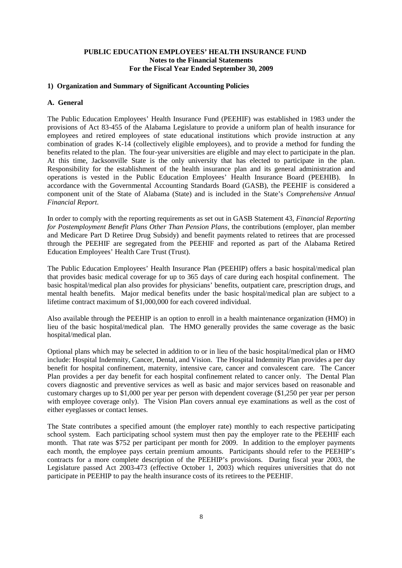# **1) Organization and Summary of Significant Accounting Policies**

#### **A. General**

The Public Education Employees' Health Insurance Fund (PEEHIF) was established in 1983 under the provisions of Act 83-455 of the Alabama Legislature to provide a uniform plan of health insurance for employees and retired employees of state educational institutions which provide instruction at any combination of grades K-14 (collectively eligible employees), and to provide a method for funding the benefits related to the plan. The four-year universities are eligible and may elect to participate in the plan. At this time, Jacksonville State is the only university that has elected to participate in the plan. Responsibility for the establishment of the health insurance plan and its general administration and operations is vested in the Public Education Employees' Health Insurance Board (PEEHIB). In accordance with the Governmental Accounting Standards Board (GASB), the PEEHIF is considered a component unit of the State of Alabama (State) and is included in the State's *Comprehensive Annual Financial Report*.

In order to comply with the reporting requirements as set out in GASB Statement 43, *Financial Reporting for Postemployment Benefit Plans Other Than Pension Plans*, the contributions (employer, plan member and Medicare Part D Retiree Drug Subsidy) and benefit payments related to retirees that are processed through the PEEHIF are segregated from the PEEHIF and reported as part of the Alabama Retired Education Employees' Health Care Trust (Trust).

The Public Education Employees' Health Insurance Plan (PEEHIP) offers a basic hospital/medical plan that provides basic medical coverage for up to 365 days of care during each hospital confinement. The basic hospital/medical plan also provides for physicians' benefits, outpatient care, prescription drugs, and mental health benefits. Major medical benefits under the basic hospital/medical plan are subject to a lifetime contract maximum of \$1,000,000 for each covered individual.

Also available through the PEEHIP is an option to enroll in a health maintenance organization (HMO) in lieu of the basic hospital/medical plan. The HMO generally provides the same coverage as the basic hospital/medical plan.

Optional plans which may be selected in addition to or in lieu of the basic hospital/medical plan or HMO include: Hospital Indemnity, Cancer, Dental, and Vision. The Hospital Indemnity Plan provides a per day benefit for hospital confinement, maternity, intensive care, cancer and convalescent care. The Cancer Plan provides a per day benefit for each hospital confinement related to cancer only. The Dental Plan covers diagnostic and preventive services as well as basic and major services based on reasonable and customary charges up to \$1,000 per year per person with dependent coverage (\$1,250 per year per person with employee coverage only). The Vision Plan covers annual eye examinations as well as the cost of either eyeglasses or contact lenses.

The State contributes a specified amount (the employer rate) monthly to each respective participating school system. Each participating school system must then pay the employer rate to the PEEHIF each month. That rate was \$752 per participant per month for 2009. In addition to the employer payments each month, the employee pays certain premium amounts. Participants should refer to the PEEHIP's contracts for a more complete description of the PEEHIP's provisions. During fiscal year 2003, the Legislature passed Act 2003-473 (effective October 1, 2003) which requires universities that do not participate in PEEHIP to pay the health insurance costs of its retirees to the PEEHIF.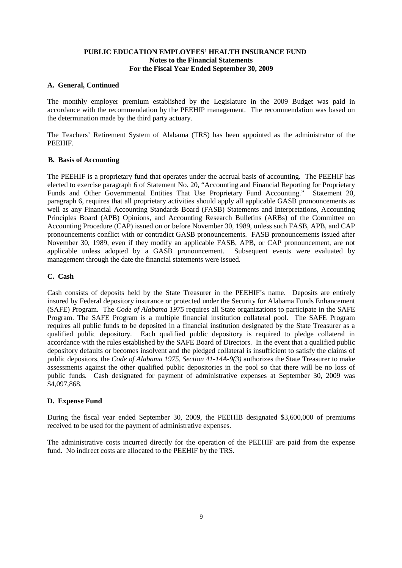#### **A. General, Continued**

The monthly employer premium established by the Legislature in the 2009 Budget was paid in accordance with the recommendation by the PEEHIP management. The recommendation was based on the determination made by the third party actuary.

The Teachers' Retirement System of Alabama (TRS) has been appointed as the administrator of the PEEHIF.

# **B. Basis of Accounting**

The PEEHIF is a proprietary fund that operates under the accrual basis of accounting. The PEEHIF has elected to exercise paragraph 6 of Statement No. 20, "Accounting and Financial Reporting for Proprietary Funds and Other Governmental Entities That Use Proprietary Fund Accounting." Statement 20, paragraph 6, requires that all proprietary activities should apply all applicable GASB pronouncements as well as any Financial Accounting Standards Board (FASB) Statements and Interpretations, Accounting Principles Board (APB) Opinions, and Accounting Research Bulletins (ARBs) of the Committee on Accounting Procedure (CAP) issued on or before November 30, 1989, unless such FASB, APB, and CAP pronouncements conflict with or contradict GASB pronouncements. FASB pronouncements issued after November 30, 1989, even if they modify an applicable FASB, APB, or CAP pronouncement, are not applicable unless adopted by a GASB pronouncement. Subsequent events were evaluated by management through the date the financial statements were issued.

# **C. Cash**

Cash consists of deposits held by the State Treasurer in the PEEHIF's name. Deposits are entirely insured by Federal depository insurance or protected under the Security for Alabama Funds Enhancement (SAFE) Program. The *Code of Alabama 1975* requires all State organizations to participate in the SAFE Program. The SAFE Program is a multiple financial institution collateral pool. The SAFE Program requires all public funds to be deposited in a financial institution designated by the State Treasurer as a qualified public depository. Each qualified public depository is required to pledge collateral in accordance with the rules established by the SAFE Board of Directors. In the event that a qualified public depository defaults or becomes insolvent and the pledged collateral is insufficient to satisfy the claims of public depositors, the *Code of Alabama 1975, Section 41-14A-9(3)* authorizes the State Treasurer to make assessments against the other qualified public depositories in the pool so that there will be no loss of public funds. Cash designated for payment of administrative expenses at September 30, 2009 was \$4,097,868.

# **D. Expense Fund**

During the fiscal year ended September 30, 2009, the PEEHIB designated \$3,600,000 of premiums received to be used for the payment of administrative expenses.

The administrative costs incurred directly for the operation of the PEEHIF are paid from the expense fund. No indirect costs are allocated to the PEEHIF by the TRS.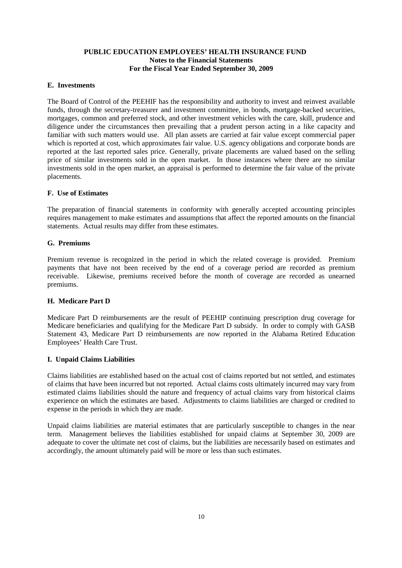#### **E. Investments**

The Board of Control of the PEEHIF has the responsibility and authority to invest and reinvest available funds, through the secretary-treasurer and investment committee, in bonds, mortgage-backed securities, mortgages, common and preferred stock, and other investment vehicles with the care, skill, prudence and diligence under the circumstances then prevailing that a prudent person acting in a like capacity and familiar with such matters would use. All plan assets are carried at fair value except commercial paper which is reported at cost, which approximates fair value. U.S. agency obligations and corporate bonds are reported at the last reported sales price. Generally, private placements are valued based on the selling price of similar investments sold in the open market. In those instances where there are no similar investments sold in the open market, an appraisal is performed to determine the fair value of the private placements.

# **F. Use of Estimates**

The preparation of financial statements in conformity with generally accepted accounting principles requires management to make estimates and assumptions that affect the reported amounts on the financial statements. Actual results may differ from these estimates.

# **G. Premiums**

Premium revenue is recognized in the period in which the related coverage is provided. Premium payments that have not been received by the end of a coverage period are recorded as premium receivable. Likewise, premiums received before the month of coverage are recorded as unearned premiums.

# **H. Medicare Part D**

Medicare Part D reimbursements are the result of PEEHIP continuing prescription drug coverage for Medicare beneficiaries and qualifying for the Medicare Part D subsidy. In order to comply with GASB Statement 43, Medicare Part D reimbursements are now reported in the Alabama Retired Education Employees' Health Care Trust.

# **I. Unpaid Claims Liabilities**

Claims liabilities are established based on the actual cost of claims reported but not settled, and estimates of claims that have been incurred but not reported. Actual claims costs ultimately incurred may vary from estimated claims liabilities should the nature and frequency of actual claims vary from historical claims experience on which the estimates are based. Adjustments to claims liabilities are charged or credited to expense in the periods in which they are made.

Unpaid claims liabilities are material estimates that are particularly susceptible to changes in the near term. Management believes the liabilities established for unpaid claims at September 30, 2009 are adequate to cover the ultimate net cost of claims, but the liabilities are necessarily based on estimates and accordingly, the amount ultimately paid will be more or less than such estimates.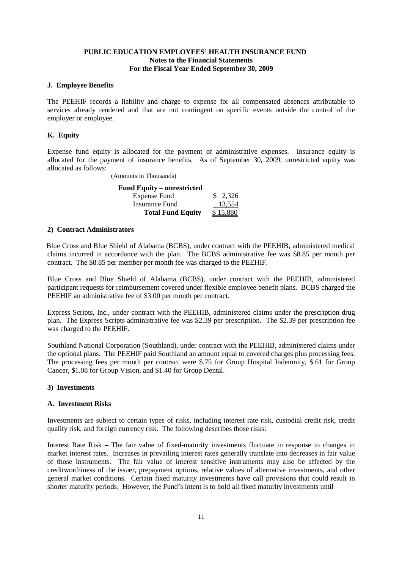#### **J. Employee Benefits**

The PEEHIF records a liability and charge to expense for all compensated absences attributable to services already rendered and that are not contingent on specific events outside the control of the employer or employee.

# **K. Equity**

Expense fund equity is allocated for the payment of administrative expenses. Insurance equity is allocated for the payment of insurance benefits. As of September 30, 2009, unrestricted equity was allocated as follows:

(Amounts in Thousands)

| <b>Fund Equity – unrestricted</b> |          |
|-----------------------------------|----------|
| <b>Expense Fund</b>               | \$2,326  |
| Insurance Fund                    | 13.554   |
| <b>Total Fund Equity</b>          | \$15,880 |

# **2) Contract Administrators**

Blue Cross and Blue Shield of Alabama (BCBS), under contract with the PEEHIB, administered medical claims incurred in accordance with the plan. The BCBS administrative fee was \$8.85 per month per contract. The \$8.85 per member per month fee was charged to the PEEHIF.

Blue Cross and Blue Shield of Alabama (BCBS), under contract with the PEEHIB, administered participant requests for reimbursement covered under flexible employee benefit plans. BCBS charged the PEEHIF an administrative fee of \$3.00 per month per contract.

Express Scripts, Inc., under contract with the PEEHIB, administered claims under the prescription drug plan. The Express Scripts administrative fee was \$2.39 per prescription. The \$2.39 per prescription fee was charged to the PEEHIF.

Southland National Corporation (Southland), under contract with the PEEHIB, administered claims under the optional plans. The PEEHIF paid Southland an amount equal to covered charges plus processing fees. The processing fees per month per contract were \$.75 for Group Hospital Indemnity, \$.61 for Group Cancer, \$1.08 for Group Vision, and \$1.40 for Group Dental.

# **3) Investments**

# **A. Investment Risks**

Investments are subject to certain types of risks, including interest rate risk, custodial credit risk, credit quality risk, and foreign currency risk. The following describes those risks:

Interest Rate Risk – The fair value of fixed-maturity investments fluctuate in response to changes in market interest rates. Increases in prevailing interest rates generally translate into decreases in fair value of those instruments. The fair value of interest sensitive instruments may also be affected by the creditworthiness of the issuer, prepayment options, relative values of alternative investments, and other general market conditions. Certain fixed maturity investments have call provisions that could result in shorter maturity periods. However, the Fund's intent is to hold all fixed maturity investments until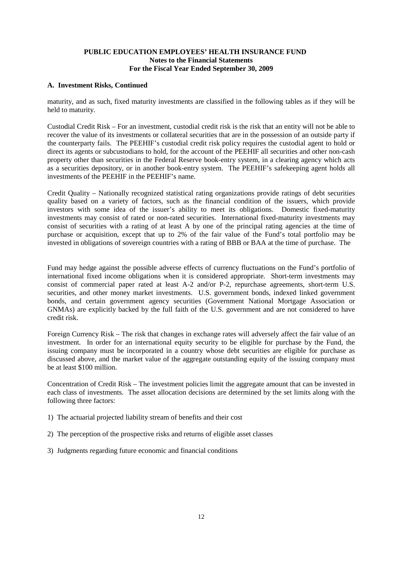# **A. Investment Risks, Continued**

maturity, and as such, fixed maturity investments are classified in the following tables as if they will be held to maturity.

Custodial Credit Risk – For an investment, custodial credit risk is the risk that an entity will not be able to recover the value of its investments or collateral securities that are in the possession of an outside party if the counterparty fails. The PEEHIF's custodial credit risk policy requires the custodial agent to hold or direct its agents or subcustodians to hold, for the account of the PEEHIF all securities and other non-cash property other than securities in the Federal Reserve book-entry system, in a clearing agency which acts as a securities depository, or in another book-entry system. The PEEHIF's safekeeping agent holds all investments of the PEEHIF in the PEEHIF's name.

Credit Quality – Nationally recognized statistical rating organizations provide ratings of debt securities quality based on a variety of factors, such as the financial condition of the issuers, which provide investors with some idea of the issuer's ability to meet its obligations. Domestic fixed-maturity investments may consist of rated or non-rated securities. International fixed-maturity investments may consist of securities with a rating of at least A by one of the principal rating agencies at the time of purchase or acquisition, except that up to 2% of the fair value of the Fund's total portfolio may be invested in obligations of sovereign countries with a rating of BBB or BAA at the time of purchase. The

Fund may hedge against the possible adverse effects of currency fluctuations on the Fund's portfolio of international fixed income obligations when it is considered appropriate. Short-term investments may consist of commercial paper rated at least A-2 and/or P-2, repurchase agreements, short-term U.S. securities, and other money market investments. U.S. government bonds, indexed linked government bonds, and certain government agency securities (Government National Mortgage Association or GNMAs) are explicitly backed by the full faith of the U.S. government and are not considered to have credit risk.

Foreign Currency Risk – The risk that changes in exchange rates will adversely affect the fair value of an investment. In order for an international equity security to be eligible for purchase by the Fund, the issuing company must be incorporated in a country whose debt securities are eligible for purchase as discussed above, and the market value of the aggregate outstanding equity of the issuing company must be at least \$100 million.

Concentration of Credit Risk – The investment policies limit the aggregate amount that can be invested in each class of investments. The asset allocation decisions are determined by the set limits along with the following three factors:

- 1) The actuarial projected liability stream of benefits and their cost
- 2) The perception of the prospective risks and returns of eligible asset classes
- 3) Judgments regarding future economic and financial conditions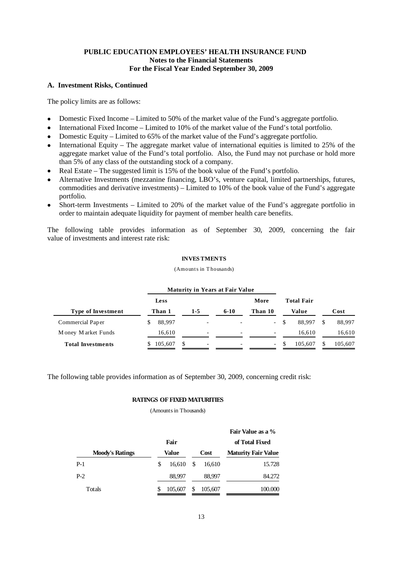#### **A. Investment Risks, Continued**

The policy limits are as follows:

- Domestic Fixed Income Limited to 50% of the market value of the Fund's aggregate portfolio.
- International Fixed Income Limited to 10% of the market value of the Fund's total portfolio.
- Domestic Equity Limited to 65% of the market value of the Fund's aggregate portfolio.
- International Equity The aggregate market value of international equities is limited to 25% of the aggregate market value of the Fund's total portfolio. Also, the Fund may not purchase or hold more than 5% of any class of the outstanding stock of a company.
- Real Estate The suggested limit is 15% of the book value of the Fund's portfolio.
- Alternative Investments (mezzanine financing, LBO's, venture capital, limited partnerships, futures, commodities and derivative investments) – Limited to 10% of the book value of the Fund's aggregate portfolio.
- Short-term Investments Limited to 20% of the market value of the Fund's aggregate portfolio in order to maintain adequate liquidity for payment of member health care benefits.

The following table provides information as of September 30, 2009, concerning the fair value of investments and interest rate risk:

#### **INVES TMENTS**

(Amounts in T housands)

|                           |         | <b>Maturity in Years at Fair Value</b> |                          |                          |                   |         |
|---------------------------|---------|----------------------------------------|--------------------------|--------------------------|-------------------|---------|
|                           | Less    |                                        |                          | More                     | <b>Total Fair</b> |         |
| <b>Type of Investment</b> | Than 1  | $1 - 5$                                | $6 - 10$                 | Than 10                  | Value             | Cost    |
| Commercial Paper          | 88,997  | $\overline{\phantom{0}}$               | $\overline{a}$           | $\sim$                   | 88.997            | 88,997  |
| Money Market Funds        | 16.610  | $\overline{\phantom{a}}$               | $\overline{\phantom{a}}$ | $\overline{\phantom{0}}$ | 16.610            | 16,610  |
| <b>Total Investments</b>  | 105,607 | \$<br>۰                                | ۰                        | $\sim$                   | 105.607           | 105,607 |

The following table provides information as of September 30, 2009, concerning credit risk:

#### **RATINGS OF FIXED MATURITIES**

|                        |   |                   |   |         | Fair Value as a %          |  |  |  |
|------------------------|---|-------------------|---|---------|----------------------------|--|--|--|
|                        |   | Fair              |   |         | of Total Fixed             |  |  |  |
| <b>Moody's Ratings</b> |   | Value             |   | Cost    | <b>Maturity Fair Value</b> |  |  |  |
| $P-1$                  | S | $16.610 \quad$ \$ |   | 16,610  | 15.728                     |  |  |  |
| $P-2$                  |   | 88,997            |   | 88,997  | 84.272                     |  |  |  |
| Totals                 |   | 105,607           | S | 105,607 | 100.000                    |  |  |  |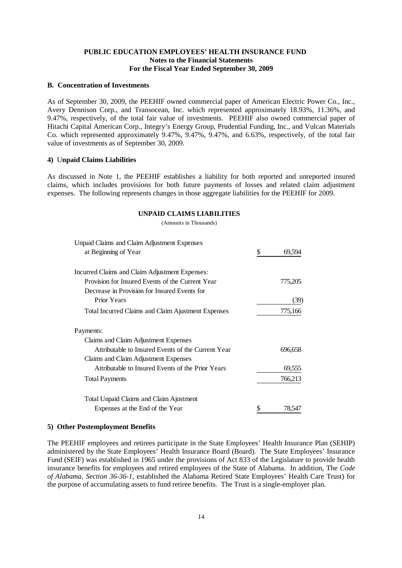#### **B. Concentration of Investments**

As of September 30, 2009, the PEEHIF owned commercial paper of American Electric Power Co., Inc., Avery Dennison Corp., and Transocean, Inc. which represented approximately 18.93%, 11.36%, and 9.47%, respectively, of the total fair value of investments. PEEHIF also owned commercial paper of Hitachi Capital American Corp., Integry's Energy Group, Prudential Funding, Inc., and Vulcan Materials Co. which represented approximately 9.47%, 9.47%, 9.47%, and 6.63%, respectively, of the total fair value of investments as of September 30, 2009.

#### **4)** U**npaid Claims Liabilities**

As discussed in Note 1, the PEEHIF establishes a liability for both reported and unreported insured claims, which includes provisions for both future payments of losses and related claim adjustment expenses. The following represents changes in those aggregate liabilities for the PEEHIF for 2009.

#### **UNPAID CLAIMS LIABILITIES**

(Amounts in Thousands)

| Unpaid Claims and Claim Adjustment Expenses               |    |         |
|-----------------------------------------------------------|----|---------|
| at Beginning of Year                                      | \$ | 69,594  |
| Incurred Claims and Claim Adjustment Expenses:            |    |         |
| Provision for Insured Events of the Current Year          |    | 775,205 |
| Decrease in Provision for Insured Events for              |    |         |
| <b>Prior Years</b>                                        |    | (39)    |
| <b>Total Incurred Claims and Claim Ajustment Expenses</b> |    | 775,166 |
| Payments:                                                 |    |         |
| Claims and Claim Adjustment Expenses                      |    |         |
| Attributable to Insured Events of the Current Year        |    | 696,658 |
| Claims and Claim Adjustment Expenses                      |    |         |
| Attributable to Insured Events of the Prior Years         |    | 69,555  |
| <b>Total Payments</b>                                     |    | 766,213 |
| Total Unpaid Claims and Claim Ajustment                   |    |         |
| Expenses at the End of the Year                           | S  | 78,547  |

#### **5) Other Postemployment Benefits**

The PEEHIF employees and retirees participate in the State Employees' Health Insurance Plan (SEHIP) administered by the State Employees' Health Insurance Board (Board). The State Employees' Insurance Fund (SEIF) was established in 1965 under the provisions of Act 833 of the Legislature to provide health insurance benefits for employees and retired employees of the State of Alabama. In addition, The *Code of Alabama, Section 36-36-1,* established the Alabama Retired State Employees' Health Care Trust) for the purpose of accumulating assets to fund retiree benefits. The Trust is a single-employer plan.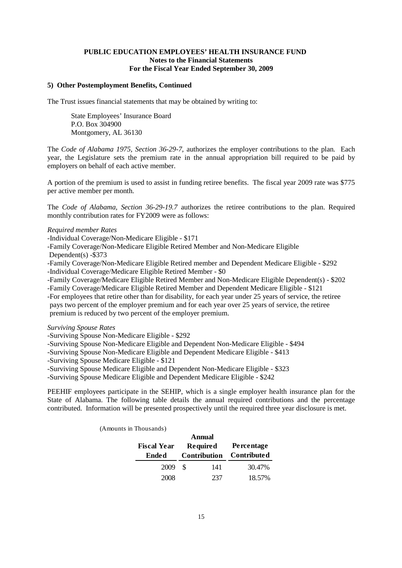# **5) Other Postemployment Benefits, Continued**

The Trust issues financial statements that may be obtained by writing to:

State Employees' Insurance Board P.O. Box 304900 Montgomery, AL 36130

The *Code of Alabama 1975, Section 36-29-7,* authorizes the employer contributions to the plan. Each year, the Legislature sets the premium rate in the annual appropriation bill required to be paid by employers on behalf of each active member.

A portion of the premium is used to assist in funding retiree benefits. The fiscal year 2009 rate was \$775 per active member per month.

The *Code of Alabama, Section 36-29-19.7* authorizes the retiree contributions to the plan. Required monthly contribution rates for FY2009 were as follows:

#### *Required member Rates*

-Individual Coverage/Non-Medicare Eligible - \$171

-Family Coverage/Non-Medicare Eligible Retired Member and Non-Medicare Eligible

Dependent(s) -\$373

-Family Coverage/Non-Medicare Eligible Retired member and Dependent Medicare Eligible - \$292 -Individual Coverage/Medicare Eligible Retired Member - \$0

-Family Coverage/Medicare Eligible Retired Member and Non-Medicare Eligible Dependent(s) - \$202 -Family Coverage/Medicare Eligible Retired Member and Dependent Medicare Eligible - \$121

-For employees that retire other than for disability, for each year under 25 years of service, the retiree pays two percent of the employer premium and for each year over 25 years of service, the retiree premium is reduced by two percent of the employer premium.

#### *Surviving Spouse Rates*

-Surviving Spouse Non-Medicare Eligible - \$292

-Surviving Spouse Non-Medicare Eligible and Dependent Non-Medicare Eligible - \$494

-Surviving Spouse Non-Medicare Eligible and Dependent Medicare Eligible - \$413

-Surviving Spouse Medicare Eligible - \$121

-Surviving Spouse Medicare Eligible and Dependent Non-Medicare Eligible - \$323

-Surviving Spouse Medicare Eligible and Dependent Medicare Eligible - \$242

PEEHIF employees participate in the SEHIP, which is a single employer health insurance plan for the State of Alabama. The following table details the annual required contributions and the percentage contributed. Information will be presented prospectively until the required three year disclosure is met.

| Annual             |   |                     |                    |  |  |  |  |  |  |  |
|--------------------|---|---------------------|--------------------|--|--|--|--|--|--|--|
| <b>Fiscal Year</b> |   | <b>Required</b>     | <b>Percentage</b>  |  |  |  |  |  |  |  |
| Ended              |   | <b>Contribution</b> | <b>Contributed</b> |  |  |  |  |  |  |  |
| 2009               | S | 141                 | 30.47%             |  |  |  |  |  |  |  |
| 2008               |   | 237                 | 18.57%             |  |  |  |  |  |  |  |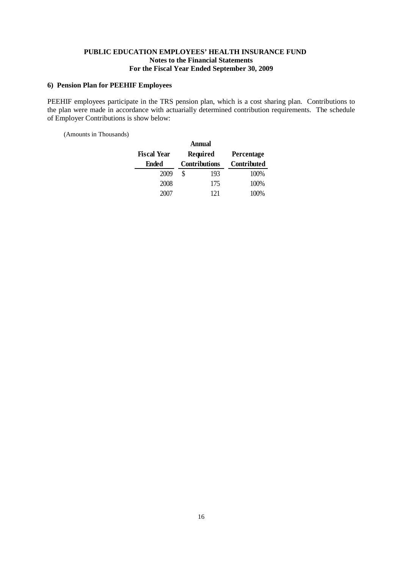# **6) Pension Plan for PEEHIF Employees**

PEEHIF employees participate in the TRS pension plan, which is a cost sharing plan. Contributions to the plan were made in accordance with actuarially determined contribution requirements. The schedule of Employer Contributions is show below:

| Annual             |   |                      |                    |  |  |  |  |  |  |
|--------------------|---|----------------------|--------------------|--|--|--|--|--|--|
| <b>Fiscal Year</b> |   | <b>Required</b>      | Percentage         |  |  |  |  |  |  |
| Ended              |   | <b>Contributions</b> | <b>Contributed</b> |  |  |  |  |  |  |
| 2009               | S | 193                  | 100%               |  |  |  |  |  |  |
| 2008               |   | 175                  | 100%               |  |  |  |  |  |  |
| 2007               |   | 121                  | 100%               |  |  |  |  |  |  |